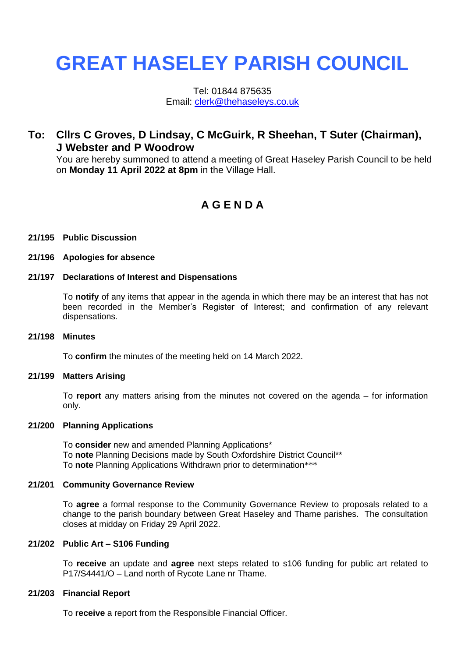# **GREAT HASELEY PARISH COUNCIL**

Tel: 01844 875635 Email: [clerk@thehaseleys.co.uk](mailto:clerk@thehaseleys.co.uk)

# **To: Cllrs C Groves, D Lindsay, C McGuirk, R Sheehan, T Suter (Chairman), J Webster and P Woodrow**

You are hereby summoned to attend a meeting of Great Haseley Parish Council to be held on **Monday 11 April 2022 at 8pm** in the Village Hall.

# **A G E N D A**

#### **21/195 Public Discussion**

#### **21/196 Apologies for absence**

#### **21/197 Declarations of Interest and Dispensations**

To **notify** of any items that appear in the agenda in which there may be an interest that has not been recorded in the Member's Register of Interest; and confirmation of any relevant dispensations.

#### **21/198 Minutes**

To **confirm** the minutes of the meeting held on 14 March 2022.

#### **21/199 Matters Arising**

To **report** any matters arising from the minutes not covered on the agenda – for information only.

#### **21/200 Planning Applications**

To **consider** new and amended Planning Applications\* To **note** Planning Decisions made by South Oxfordshire District Council\*\* To **note** Planning Applications Withdrawn prior to determination\*\*\*

#### **21/201 Community Governance Review**

To **agree** a formal response to the Community Governance Review to proposals related to a change to the parish boundary between Great Haseley and Thame parishes. The consultation closes at midday on Friday 29 April 2022.

#### **21/202 Public Art – S106 Funding**

To **receive** an update and **agree** next steps related to s106 funding for public art related to P17/S4441/O – Land north of Rycote Lane nr Thame.

#### **21/203 Financial Report**

To **receive** a report from the Responsible Financial Officer.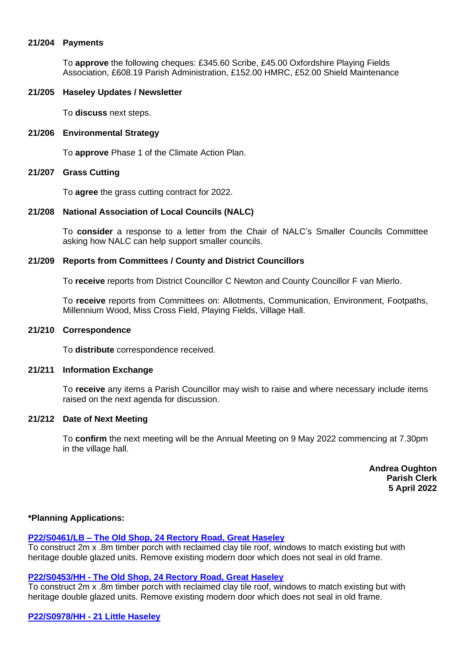#### **21/204 Payments**

To **approve** the following cheques: £345.60 Scribe, £45.00 Oxfordshire Playing Fields Association, £608.19 Parish Administration, £152.00 HMRC, £52.00 Shield Maintenance

#### **21/205 Haseley Updates / Newsletter**

To **discuss** next steps.

#### **21/206 Environmental Strategy**

To **approve** Phase 1 of the Climate Action Plan.

#### **21/207 Grass Cutting**

To **agree** the grass cutting contract for 2022.

#### **21/208 National Association of Local Councils (NALC)**

To **consider** a response to a letter from the Chair of NALC's Smaller Councils Committee asking how NALC can help support smaller councils.

#### **21/209 Reports from Committees / County and District Councillors**

To **receive** reports from District Councillor C Newton and County Councillor F van Mierlo.

To **receive** reports from Committees on: Allotments, Communication, Environment, Footpaths, Millennium Wood, Miss Cross Field, Playing Fields, Village Hall.

#### **21/210 Correspondence**

To **distribute** correspondence received.

#### **21/211 Information Exchange**

To **receive** any items a Parish Councillor may wish to raise and where necessary include items raised on the next agenda for discussion.

### **21/212 Date of Next Meeting**

To **confirm** the next meeting will be the Annual Meeting on 9 May 2022 commencing at 7.30pm in the village hall.

> **Andrea Oughton Parish Clerk 5 April 2022**

# **\*Planning Applications:**

#### **P22/S0461/LB – [The Old Shop, 24 Rectory Road, Great Haseley](https://data.southoxon.gov.uk/ccm/support/Main.jsp?MODULE=ApplicationDetails&REF=P22/S0461/LB)**

To construct 2m x .8m timber porch with reclaimed clay tile roof, windows to match existing but with heritage double glazed units. Remove existing modern door which does not seal in old frame.

# **P22/S0453/HH - [The Old Shop, 24 Rectory Road, Great Haseley](https://data.southoxon.gov.uk/ccm/support/Main.jsp?MODULE=ApplicationDetails&REF=P22/S0453/HH)**

To construct 2m x .8m timber porch with reclaimed clay tile roof, windows to match existing but with heritage double glazed units. Remove existing modern door which does not seal in old frame.